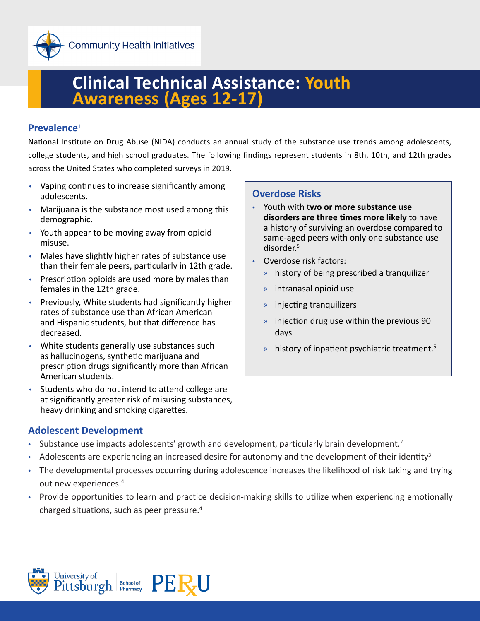

# **Clinical Technical Assistance: Youth Awareness (Ages 12-17)**

#### **Prevalence**<sup>1</sup>

National Institute on Drug Abuse (NIDA) conducts an annual study of the substance use trends among adolescents, college students, and high school graduates. The following findings represent students in 8th, 10th, and 12th grades across the United States who completed surveys in 2019.

- Vaping continues to increase significantly among adolescents.
- Marijuana is the substance most used among this demographic.
- Youth appear to be moving away from opioid misuse.
- Males have slightly higher rates of substance use than their female peers, particularly in 12th grade.
- Prescription opioids are used more by males than females in the 12th grade.
- Previously, White students had significantly higher rates of substance use than African American and Hispanic students, but that difference has decreased.
- White students generally use substances such as hallucinogens, synthetic marijuana and prescription drugs significantly more than African American students.
- Students who do not intend to attend college are at significantly greater risk of misusing substances, heavy drinking and smoking cigarettes.

#### **Overdose Risks**

- Youth with t**wo or more substance use disorders are three times more likely** to have a history of surviving an overdose compared to same-aged peers with only one substance use disorder.5
- Overdose risk factors:
	- » history of being prescribed a tranquilizer
	- » intranasal opioid use
	- » injecting tranquilizers
	- » injection drug use within the previous 90 days
	- $\mu$  history of inpatient psychiatric treatment.<sup>5</sup>

#### **Adolescent Development**

- Substance use impacts adolescents' growth and development, particularly brain development.<sup>2</sup>
- Adolescents are experiencing an increased desire for autonomy and the development of their identity<sup>3</sup>
- The developmental processes occurring during adolescence increases the likelihood of risk taking and trying out new experiences.<sup>4</sup>
- Provide opportunities to learn and practice decision-making skills to utilize when experiencing emotionally charged situations, such as peer pressure.<sup>4</sup>

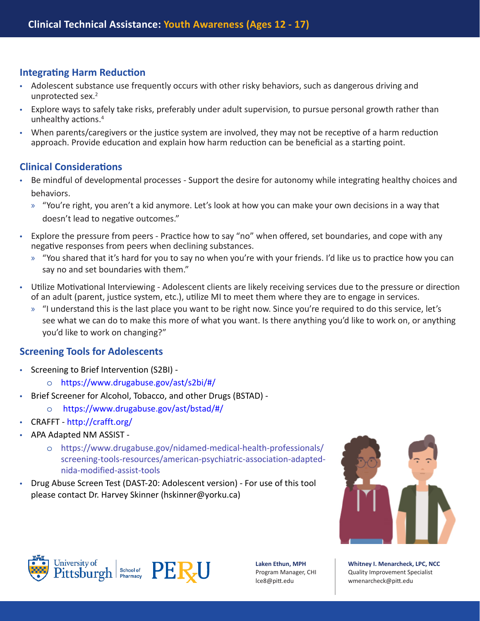### **Integrating Harm Reduction**

- Adolescent substance use frequently occurs with other risky behaviors, such as dangerous driving and unprotected sex.<sup>2</sup>
- Explore ways to safely take risks, preferably under adult supervision, to pursue personal growth rather than unhealthy actions.<sup>4</sup>
- When parents/caregivers or the justice system are involved, they may not be receptive of a harm reduction approach. Provide education and explain how harm reduction can be beneficial as a starting point.

## **Clinical Considerations**

- Be mindful of developmental processes Support the desire for autonomy while integrating healthy choices and behaviors.
	- » "You're right, you aren't a kid anymore. Let's look at how you can make your own decisions in a way that doesn't lead to negative outcomes."
- Explore the pressure from peers Practice how to say "no" when offered, set boundaries, and cope with any negative responses from peers when declining substances.
	- » "You shared that it's hard for you to say no when you're with your friends. I'd like us to practice how you can say no and set boundaries with them."
- Utilize Motivational Interviewing Adolescent clients are likely receiving services due to the pressure or direction of an adult (parent, justice system, etc.), utilize MI to meet them where they are to engage in services.
	- » "I understand this is the last place you want to be right now. Since you're required to do this service, let's see what we can do to make this more of what you want. Is there anything you'd like to work on, or anything you'd like to work on changing?"

#### **Screening Tools for Adolescents**

- Screening to Brief Intervention (S2BI)
	- o https://www.drugabuse.gov/ast/s2bi/#/
- Brief Screener for Alcohol, Tobacco, and other Drugs (BSTAD)
	- o https://www.drugabuse.gov/ast/bstad/#/
- CRAFFT http://crafft.org/
- APA Adapted NM ASSIST
	- o https://www.drugabuse.gov/nidamed-medical-health-professionals/ screening-tools-resources/american-psychiatric-association-adaptednida-modified-assist-tools
- Drug Abuse Screen Test (DAST-20: Adolescent version) For use of this tool please contact Dr. Harvey Skinner (hskinner@yorku.ca)







**Laken Ethun, MPH** Program Manager, CHI lce8@pitt.edu

**Whitney I. Menarcheck, LPC, NCC** Quality Improvement Specialist [wmenarcheck@pitt.edu](mailto:wmenarcheck%40pitt.edu?subject=)